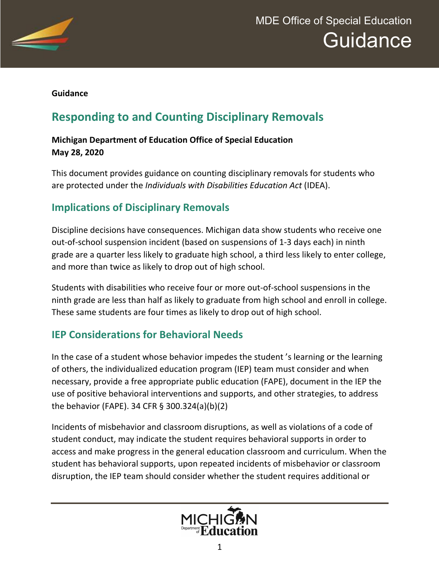

#### **Guidance**

# **Responding to and Counting Disciplinary Removals**

#### **Michigan Department of Education Office of Special Education May 28, 2020**

This document provides guidance on counting disciplinary removals for students who are protected under the *Individuals with Disabilities Education Act* (IDEA).

## **Implications of Disciplinary Removals**

Discipline decisions have consequences. Michigan data show students who receive one out-of-school suspension incident (based on suspensions of 1-3 days each) in ninth grade are a quarter less likely to graduate high school, a third less likely to enter college, and more than twice as likely to drop out of high school.

Students with disabilities who receive four or more out-of-school suspensions in the ninth grade are less than half as likely to graduate from high school and enroll in college. These same students are four times as likely to drop out of high school.

#### **IEP Considerations for Behavioral Needs**

In the case of a student whose behavior impedes the student 's learning or the learning of others, the individualized education program (IEP) team must consider and when necessary, provide a free appropriate public education (FAPE), document in the IEP the use of positive behavioral interventions and supports, and other strategies, to address the behavior (FAPE). 34 CFR § 300.324(a)(b)(2)

Incidents of misbehavior and classroom disruptions, as well as violations of a code of student conduct, may indicate the student requires behavioral supports in order to access and make progress in the general education classroom and curriculum. When the student has behavioral supports, upon repeated incidents of misbehavior or classroom disruption, the IEP team should consider whether the student requires additional or

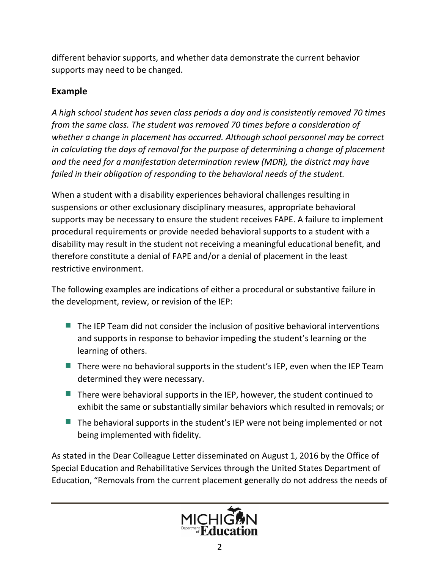different behavior supports, and whether data demonstrate the current behavior supports may need to be changed.

#### **Example**

*A high school student has seven class periods a day and is consistently removed 70 times from the same class. The student was removed 70 times before a consideration of whether a change in placement has occurred. Although school personnel may be correct in calculating the days of removal for the purpose of determining a change of placement and the need for a manifestation determination review (MDR), the district may have failed in their obligation of responding to the behavioral needs of the student.*

When a student with a disability experiences behavioral challenges resulting in suspensions or other exclusionary disciplinary measures, appropriate behavioral supports may be necessary to ensure the student receives FAPE. A failure to implement procedural requirements or provide needed behavioral supports to a student with a disability may result in the student not receiving a meaningful educational benefit, and therefore constitute a denial of FAPE and/or a denial of placement in the least restrictive environment.

The following examples are indications of either a procedural or substantive failure in the development, review, or revision of the IEP:

- The IEP Team did not consider the inclusion of positive behavioral interventions and supports in response to behavior impeding the student's learning or the learning of others.
- $\blacksquare$  There were no behavioral supports in the student's IEP, even when the IEP Team determined they were necessary.
- $\blacksquare$  There were behavioral supports in the IEP, however, the student continued to exhibit the same or substantially similar behaviors which resulted in removals; or
- $\blacksquare$  The behavioral supports in the student's IEP were not being implemented or not being implemented with fidelity.

As stated in the Dear Colleague Letter disseminated on August 1, 2016 by the Office of Special Education and Rehabilitative Services through the United States Department of Education, "Removals from the current placement generally do not address the needs of

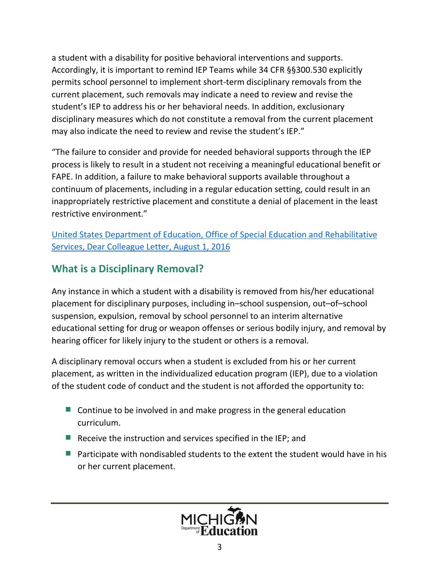a student with a disability for positive behavioral interventions and supports. Accordingly, it is important to remind IEP Teams while 34 CFR §§300.530 explicitly permits school personnel to implement short-term disciplinary removals from the current placement, such removals may indicate a need to review and revise the student's IEP to address his or her behavioral needs. In addition, exclusionary disciplinary measures which do not constitute a removal from the current placement may also indicate the need to review and revise the student's IEP."

"The failure to consider and provide for needed behavioral supports through the IEP process is likely to result in a student not receiving a meaningful educational benefit or FAPE. In addition, a failure to make behavioral supports available throughout a continuum of placements, including in a regular education setting, could result in an inappropriately restrictive placement and constitute a denial of placement in the least restrictive environment."

[United States Department of Education, Office of Special Education and Rehabilitative](https://www2.ed.gov/policy/gen/guid/school-discipline/files/dcl-on-pbis-in-ieps--08-01-2016.pdf) [Services, Dear Colleague Letter, August 1, 2016](https://www2.ed.gov/policy/gen/guid/school-discipline/files/dcl-on-pbis-in-ieps--08-01-2016.pdf)

## **What is a Disciplinary Removal?**

Any instance in which a student with a disability is removed from his/her educational placement for disciplinary purposes, including in–school suspension, out–of–school suspension, expulsion, removal by school personnel to an interim alternative educational setting for drug or weapon offenses or serious bodily injury, and removal by hearing officer for likely injury to the student or others is a removal.

A disciplinary removal occurs when a student is excluded from his or her current placement, as written in the individualized education program (IEP), due to a violation of the student code of conduct and the student is not afforded the opportunity to:

- $\blacksquare$  Continue to be involved in and make progress in the general education curriculum.
- $\blacksquare$  Receive the instruction and services specified in the IEP; and
- $\blacksquare$  Participate with nondisabled students to the extent the student would have in his or her current placement.

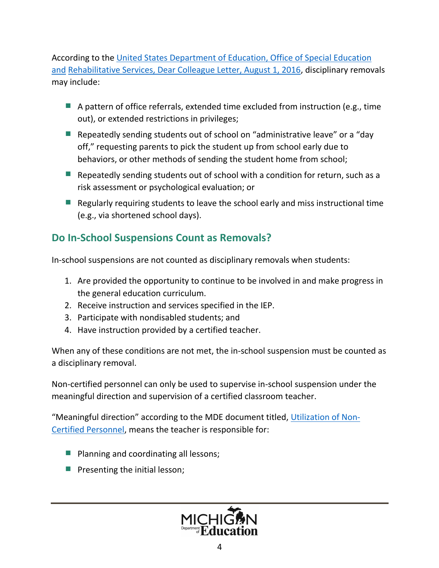According to the [United States Department of Education, Office of Special Education](https://www2.ed.gov/policy/gen/guid/school-discipline/files/dcl-on-pbis-in-ieps--08-01-2016.pdf)  [and](https://www2.ed.gov/policy/gen/guid/school-discipline/files/dcl-on-pbis-in-ieps--08-01-2016.pdf) [Rehabilitative Services, Dear Colleague Letter, August 1, 2016,](https://www2.ed.gov/policy/gen/guid/school-discipline/files/dcl-on-pbis-in-ieps--08-01-2016.pdf) disciplinary removals may include:

- $\blacksquare$  A pattern of office referrals, extended time excluded from instruction (e.g., time out), or extended restrictions in privileges;
- Repeatedly sending students out of school on "administrative leave" or a "day off," requesting parents to pick the student up from school early due to behaviors, or other methods of sending the student home from school;
- E Repeatedly sending students out of school with a condition for return, such as a risk assessment or psychological evaluation; or
- $\blacksquare$  Regularly requiring students to leave the school early and miss instructional time (e.g., via shortened school days).

## **Do In-School Suspensions Count as Removals?**

In-school suspensions are not counted as disciplinary removals when students:

- 1. Are provided the opportunity to continue to be involved in and make progress in the general education curriculum.
- 2. Receive instruction and services specified in the IEP.
- 3. Participate with nondisabled students; and
- 4. Have instruction provided by a certified teacher.

When any of these conditions are not met, the in-school suspension must be counted as a disciplinary removal.

Non-certified personnel can only be used to supervise in-school suspension under the meaningful direction and supervision of a certified classroom teacher.

"Meaningful direction" according to the MDE document titled, [Utilization of Non-](https://www.michigan.gov/documents/mde/Paraprofessionals_Utilization_NonCert_545711_7.PDF)[Certified Personnel](https://www.michigan.gov/documents/mde/Paraprofessionals_Utilization_NonCert_545711_7.PDF), means the teacher is responsible for:

- Planning and coordinating all lessons;
- **Pesenting the initial lesson;**

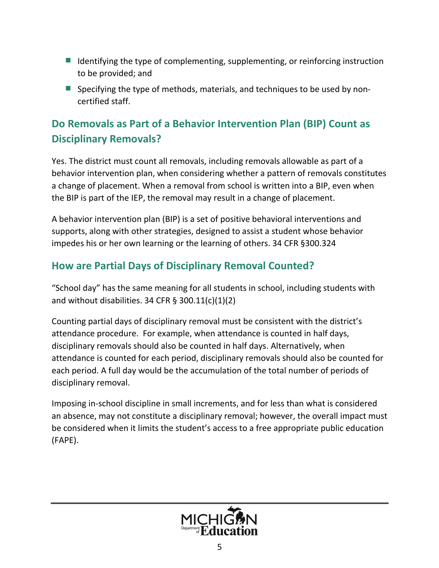- $\blacksquare$  Identifying the type of complementing, supplementing, or reinforcing instruction to be provided; and
- Specifying the type of methods, materials, and techniques to be used by noncertified staff.

# **Do Removals as Part of a Behavior Intervention Plan (BIP) Count as Disciplinary Removals?**

Yes. The district must count all removals, including removals allowable as part of a behavior intervention plan, when considering whether a pattern of removals constitutes a change of placement. When a removal from school is written into a BIP, even when the BIP is part of the IEP, the removal may result in a change of placement.

A behavior intervention plan (BIP) is a set of positive behavioral interventions and supports, along with other strategies, designed to assist a student whose behavior impedes his or her own learning or the learning of others. 34 CFR §300.324

## **How are Partial Days of Disciplinary Removal Counted?**

"School day" has the same meaning for all students in school, including students with and without disabilities. 34 CFR  $\S$  300.11(c)(1)(2)

Counting partial days of disciplinary removal must be consistent with the district's attendance procedure. For example, when attendance is counted in half days, disciplinary removals should also be counted in half days. Alternatively, when attendance is counted for each period, disciplinary removals should also be counted for each period. A full day would be the accumulation of the total number of periods of disciplinary removal.

Imposing in-school discipline in small increments, and for less than what is considered an absence, may not constitute a disciplinary removal; however, the overall impact must be considered when it limits the student's access to a free appropriate public education (FAPE).

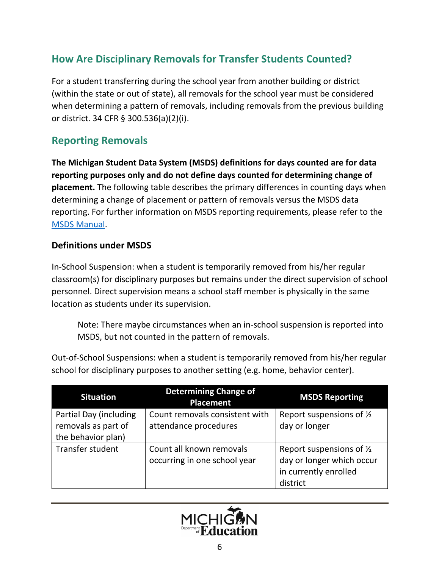## **How Are Disciplinary Removals for Transfer Students Counted?**

For a student transferring during the school year from another building or district (within the state or out of state), all removals for the school year must be considered when determining a pattern of removals, including removals from the previous building or district. 34 CFR § 300.536(a)(2)(i).

## **Reporting Removals**

**The Michigan Student Data System (MSDS) definitions for days counted are for data reporting purposes only and do not define days counted for determining change of placement.** The following table describes the primary differences in counting days when determining a change of placement or pattern of removals versus the MSDS data reporting. For further information on MSDS reporting requirements, please refer to the MSDS [Manual](https://www.michigan.gov/cepi/0,4546,7-113-986_50502---,00.html).

#### **Definitions under MSDS**

In-School Suspension: when a student is temporarily removed from his/her regular classroom(s) for disciplinary purposes but remains under the direct supervision of school personnel. Direct supervision means a school staff member is physically in the same location as students under its supervision.

Note: There maybe circumstances when an in-school suspension is reported into MSDS, but not counted in the pattern of removals.

Out-of-School Suspensions: when a student is temporarily removed from his/her regular school for disciplinary purposes to another setting (e.g. home, behavior center).

| <b>Situation</b>                                                    | <b>Determining Change of</b><br>Placement                | <b>MSDS Reporting</b>                                                                                 |
|---------------------------------------------------------------------|----------------------------------------------------------|-------------------------------------------------------------------------------------------------------|
| Partial Day (including<br>removals as part of<br>the behavior plan) | Count removals consistent with<br>attendance procedures  | Report suspensions of 1/2<br>day or longer                                                            |
| Transfer student                                                    | Count all known removals<br>occurring in one school year | Report suspensions of $\frac{1}{2}$<br>day or longer which occur<br>in currently enrolled<br>district |